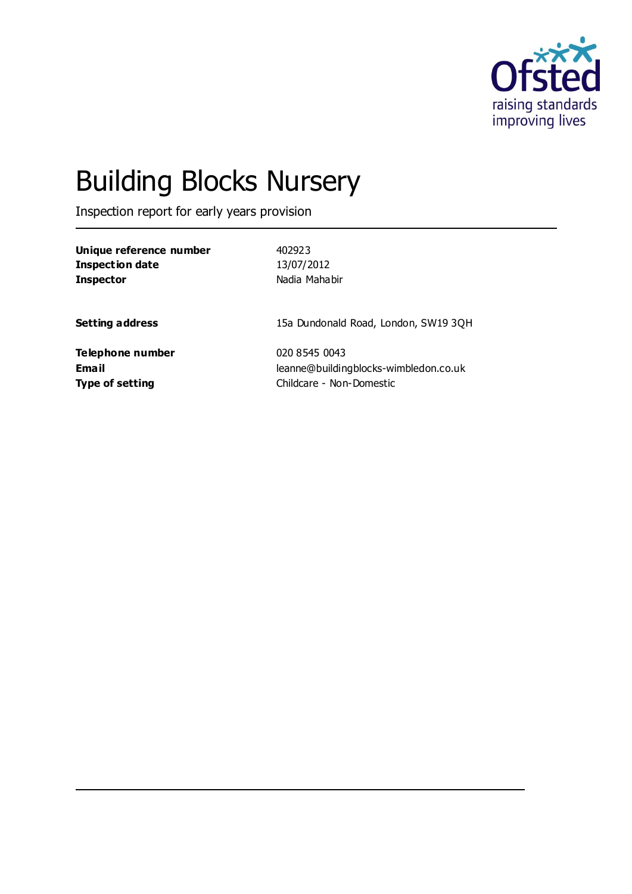

# Building Blocks Nursery

Inspection report for early years provision

| Unique reference number |  |
|-------------------------|--|
| Inspection date         |  |
| <b>Inspector</b>        |  |

**Unique reference number** 402923 **Inspection date** 13/07/2012 **Inspector** Nadia Mahabir

**Setting address** 15a Dundonald Road, London, SW19 3QH

**Telephone number** 020 8545 0043

**Email** leanne@buildingblocks-wimbledon.co.uk **Type of setting** Childcare - Non-Domestic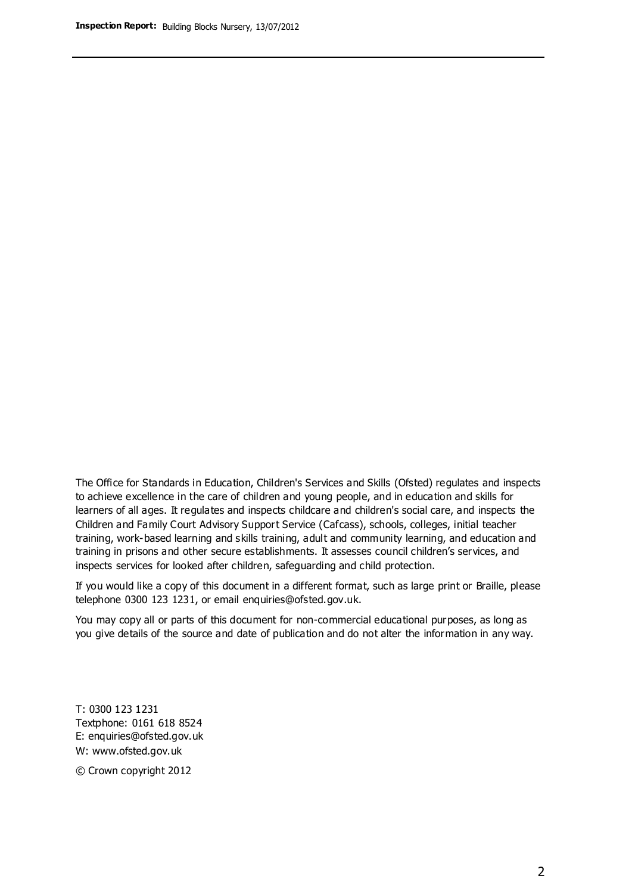The Office for Standards in Education, Children's Services and Skills (Ofsted) regulates and inspects to achieve excellence in the care of children and young people, and in education and skills for learners of all ages. It regulates and inspects childcare and children's social care, and inspects the Children and Family Court Advisory Support Service (Cafcass), schools, colleges, initial teacher training, work-based learning and skills training, adult and community learning, and education and training in prisons and other secure establishments. It assesses council children's services, and inspects services for looked after children, safeguarding and child protection.

If you would like a copy of this document in a different format, such as large print or Braille, please telephone 0300 123 1231, or email enquiries@ofsted.gov.uk.

You may copy all or parts of this document for non-commercial educational purposes, as long as you give details of the source and date of publication and do not alter the information in any way.

T: 0300 123 1231 Textphone: 0161 618 8524 E: enquiries@ofsted.gov.uk W: [www.ofsted.gov.uk](http://www.ofsted.gov.uk/)

© Crown copyright 2012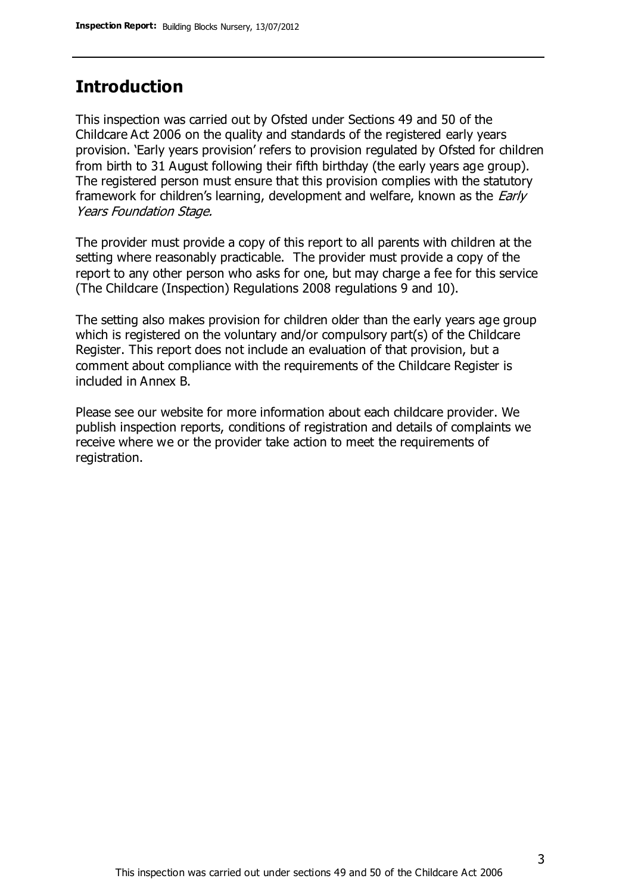### **Introduction**

This inspection was carried out by Ofsted under Sections 49 and 50 of the Childcare Act 2006 on the quality and standards of the registered early years provision. 'Early years provision' refers to provision regulated by Ofsted for children from birth to 31 August following their fifth birthday (the early years age group). The registered person must ensure that this provision complies with the statutory framework for children's learning, development and welfare, known as the *Early* Years Foundation Stage.

The provider must provide a copy of this report to all parents with children at the setting where reasonably practicable. The provider must provide a copy of the report to any other person who asks for one, but may charge a fee for this service (The Childcare (Inspection) Regulations 2008 regulations 9 and 10).

The setting also makes provision for children older than the early years age group which is registered on the voluntary and/or compulsory part(s) of the Childcare Register. This report does not include an evaluation of that provision, but a comment about compliance with the requirements of the Childcare Register is included in Annex B.

Please see our website for more information about each childcare provider. We publish inspection reports, conditions of registration and details of complaints we receive where we or the provider take action to meet the requirements of registration.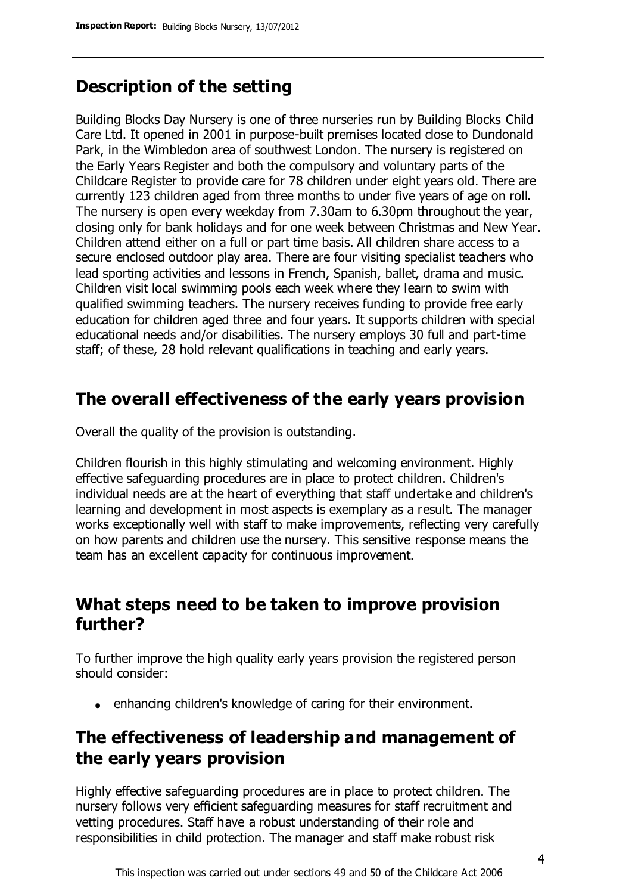### **Description of the setting**

Building Blocks Day Nursery is one of three nurseries run by Building Blocks Child Care Ltd. It opened in 2001 in purpose-built premises located close to Dundonald Park, in the Wimbledon area of southwest London. The nursery is registered on the Early Years Register and both the compulsory and voluntary parts of the Childcare Register to provide care for 78 children under eight years old. There are currently 123 children aged from three months to under five years of age on roll. The nursery is open every weekday from 7.30am to 6.30pm throughout the year, closing only for bank holidays and for one week between Christmas and New Year. Children attend either on a full or part time basis. All children share access to a secure enclosed outdoor play area. There are four visiting specialist teachers who lead sporting activities and lessons in French, Spanish, ballet, drama and music. Children visit local swimming pools each week where they learn to swim with qualified swimming teachers. The nursery receives funding to provide free early education for children aged three and four years. It supports children with special educational needs and/or disabilities. The nursery employs 30 full and part-time staff; of these, 28 hold relevant qualifications in teaching and early years.

### **The overall effectiveness of the early years provision**

Overall the quality of the provision is outstanding.

Children flourish in this highly stimulating and welcoming environment. Highly effective safeguarding procedures are in place to protect children. Children's individual needs are at the heart of everything that staff undertake and children's learning and development in most aspects is exemplary as a result. The manager works exceptionally well with staff to make improvements, reflecting very carefully on how parents and children use the nursery. This sensitive response means the team has an excellent capacity for continuous improvement.

### **What steps need to be taken to improve provision further?**

To further improve the high quality early years provision the registered person should consider:

• enhancing children's knowledge of caring for their environment.

### **The effectiveness of leadership and management of the early years provision**

Highly effective safeguarding procedures are in place to protect children. The nursery follows very efficient safeguarding measures for staff recruitment and vetting procedures. Staff have a robust understanding of their role and responsibilities in child protection. The manager and staff make robust risk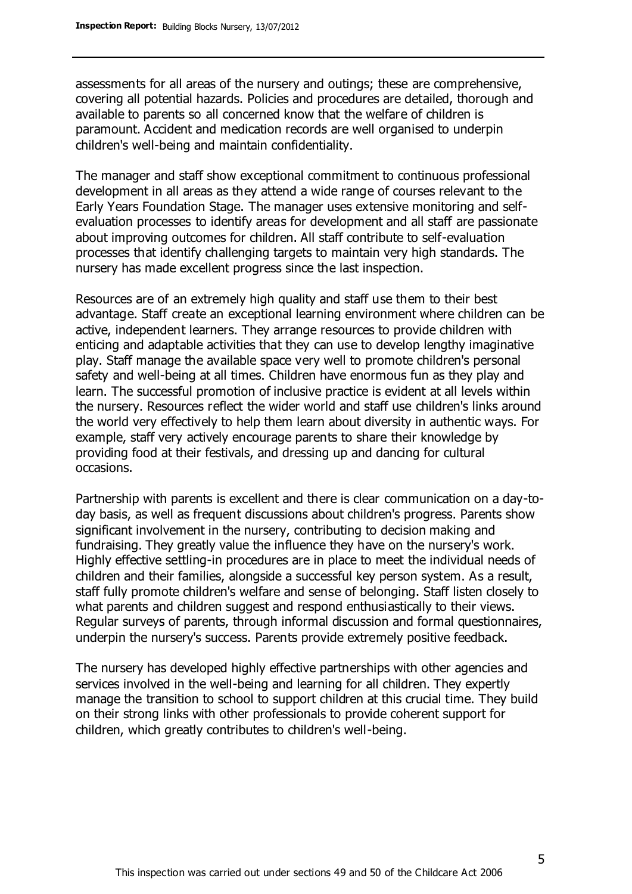assessments for all areas of the nursery and outings; these are comprehensive, covering all potential hazards. Policies and procedures are detailed, thorough and available to parents so all concerned know that the welfare of children is paramount. Accident and medication records are well organised to underpin children's well-being and maintain confidentiality.

The manager and staff show exceptional commitment to continuous professional development in all areas as they attend a wide range of courses relevant to the Early Years Foundation Stage. The manager uses extensive monitoring and selfevaluation processes to identify areas for development and all staff are passionate about improving outcomes for children. All staff contribute to self-evaluation processes that identify challenging targets to maintain very high standards. The nursery has made excellent progress since the last inspection.

Resources are of an extremely high quality and staff use them to their best advantage. Staff create an exceptional learning environment where children can be active, independent learners. They arrange resources to provide children with enticing and adaptable activities that they can use to develop lengthy imaginative play. Staff manage the available space very well to promote children's personal safety and well-being at all times. Children have enormous fun as they play and learn. The successful promotion of inclusive practice is evident at all levels within the nursery. Resources reflect the wider world and staff use children's links around the world very effectively to help them learn about diversity in authentic ways. For example, staff very actively encourage parents to share their knowledge by providing food at their festivals, and dressing up and dancing for cultural occasions.

Partnership with parents is excellent and there is clear communication on a day-today basis, as well as frequent discussions about children's progress. Parents show significant involvement in the nursery, contributing to decision making and fundraising. They greatly value the influence they have on the nursery's work. Highly effective settling-in procedures are in place to meet the individual needs of children and their families, alongside a successful key person system. As a result, staff fully promote children's welfare and sense of belonging. Staff listen closely to what parents and children suggest and respond enthusiastically to their views. Regular surveys of parents, through informal discussion and formal questionnaires, underpin the nursery's success. Parents provide extremely positive feedback.

The nursery has developed highly effective partnerships with other agencies and services involved in the well-being and learning for all children. They expertly manage the transition to school to support children at this crucial time. They build on their strong links with other professionals to provide coherent support for children, which greatly contributes to children's well-being.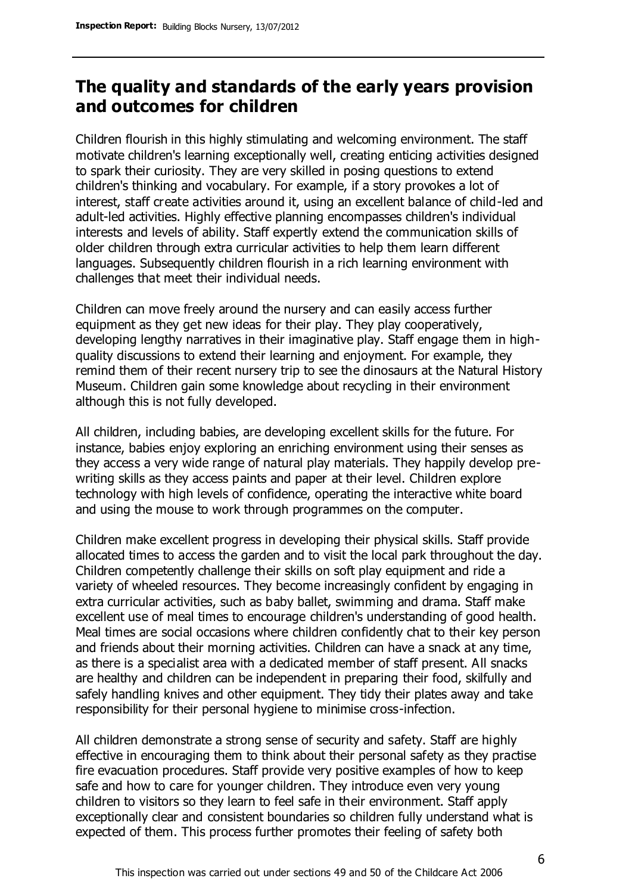### **The quality and standards of the early years provision and outcomes for children**

Children flourish in this highly stimulating and welcoming environment. The staff motivate children's learning exceptionally well, creating enticing activities designed to spark their curiosity. They are very skilled in posing questions to extend children's thinking and vocabulary. For example, if a story provokes a lot of interest, staff create activities around it, using an excellent balance of child-led and adult-led activities. Highly effective planning encompasses children's individual interests and levels of ability. Staff expertly extend the communication skills of older children through extra curricular activities to help them learn different languages. Subsequently children flourish in a rich learning environment with challenges that meet their individual needs.

Children can move freely around the nursery and can easily access further equipment as they get new ideas for their play. They play cooperatively, developing lengthy narratives in their imaginative play. Staff engage them in highquality discussions to extend their learning and enjoyment. For example, they remind them of their recent nursery trip to see the dinosaurs at the Natural History Museum. Children gain some knowledge about recycling in their environment although this is not fully developed.

All children, including babies, are developing excellent skills for the future. For instance, babies enjoy exploring an enriching environment using their senses as they access a very wide range of natural play materials. They happily develop prewriting skills as they access paints and paper at their level. Children explore technology with high levels of confidence, operating the interactive white board and using the mouse to work through programmes on the computer.

Children make excellent progress in developing their physical skills. Staff provide allocated times to access the garden and to visit the local park throughout the day. Children competently challenge their skills on soft play equipment and ride a variety of wheeled resources. They become increasingly confident by engaging in extra curricular activities, such as baby ballet, swimming and drama. Staff make excellent use of meal times to encourage children's understanding of good health. Meal times are social occasions where children confidently chat to their key person and friends about their morning activities. Children can have a snack at any time, as there is a specialist area with a dedicated member of staff present. All snacks are healthy and children can be independent in preparing their food, skilfully and safely handling knives and other equipment. They tidy their plates away and take responsibility for their personal hygiene to minimise cross-infection.

All children demonstrate a strong sense of security and safety. Staff are highly effective in encouraging them to think about their personal safety as they practise fire evacuation procedures. Staff provide very positive examples of how to keep safe and how to care for younger children. They introduce even very young children to visitors so they learn to feel safe in their environment. Staff apply exceptionally clear and consistent boundaries so children fully understand what is expected of them. This process further promotes their feeling of safety both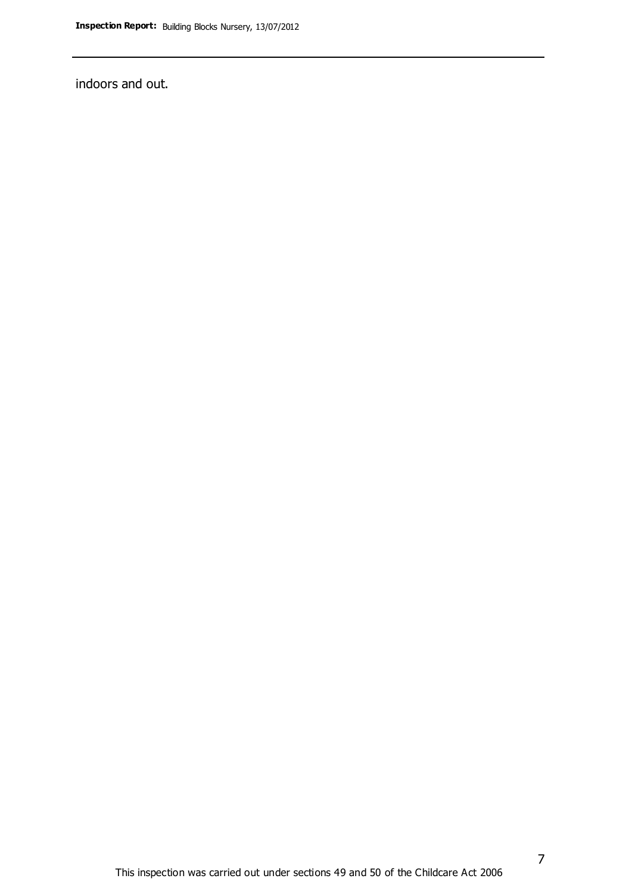indoors and out.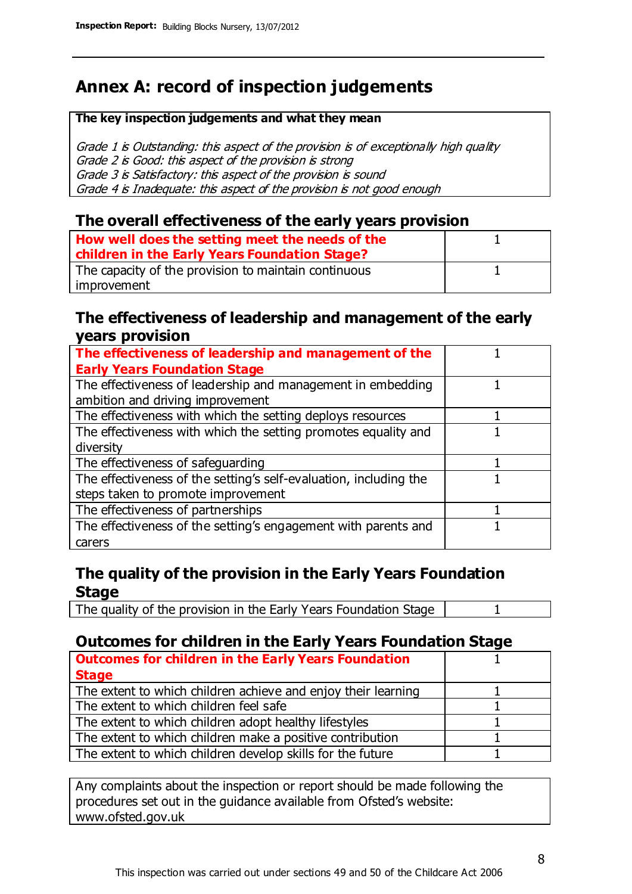### **Annex A: record of inspection judgements**

#### **The key inspection judgements and what they mean**

Grade 1 is Outstanding: this aspect of the provision is of exceptionally high quality Grade 2 is Good: this aspect of the provision is strong Grade 3 is Satisfactory: this aspect of the provision is sound Grade 4 is Inadequate: this aspect of the provision is not good enough

### **The overall effectiveness of the early years provision**

| How well does the setting meet the needs of the<br>children in the Early Years Foundation Stage? |  |
|--------------------------------------------------------------------------------------------------|--|
| The capacity of the provision to maintain continuous                                             |  |
| improvement                                                                                      |  |

### **The effectiveness of leadership and management of the early years provision**

| The effectiveness of leadership and management of the             |  |
|-------------------------------------------------------------------|--|
| <b>Early Years Foundation Stage</b>                               |  |
| The effectiveness of leadership and management in embedding       |  |
| ambition and driving improvement                                  |  |
| The effectiveness with which the setting deploys resources        |  |
| The effectiveness with which the setting promotes equality and    |  |
| diversity                                                         |  |
| The effectiveness of safeguarding                                 |  |
| The effectiveness of the setting's self-evaluation, including the |  |
| steps taken to promote improvement                                |  |
| The effectiveness of partnerships                                 |  |
| The effectiveness of the setting's engagement with parents and    |  |
| carers                                                            |  |

### **The quality of the provision in the Early Years Foundation Stage**

The quality of the provision in the Early Years Foundation Stage | 1

### **Outcomes for children in the Early Years Foundation Stage**

| <b>Outcomes for children in the Early Years Foundation</b>    |  |
|---------------------------------------------------------------|--|
| <b>Stage</b>                                                  |  |
| The extent to which children achieve and enjoy their learning |  |
| The extent to which children feel safe                        |  |
| The extent to which children adopt healthy lifestyles         |  |
| The extent to which children make a positive contribution     |  |
| The extent to which children develop skills for the future    |  |

Any complaints about the inspection or report should be made following the procedures set out in the guidance available from Ofsted's website: www.ofsted.gov.uk